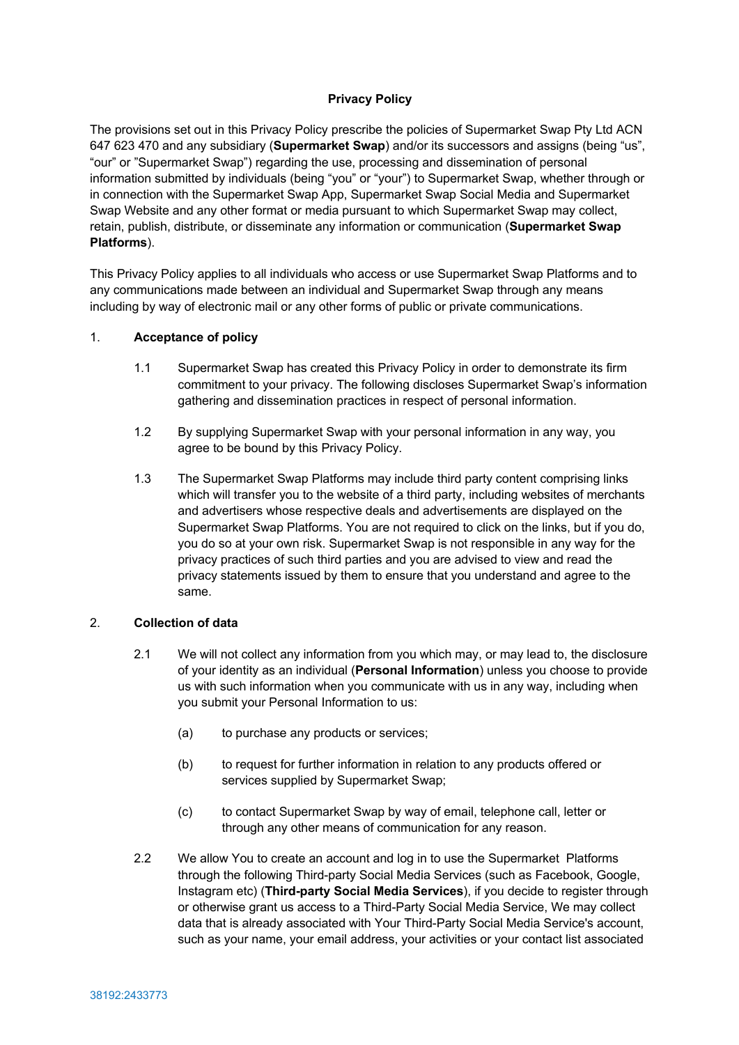# **Privacy Policy**

The provisions set out in this Privacy Policy prescribe the policies of Supermarket Swap Pty Ltd ACN 647 623 470 and any subsidiary (**Supermarket Swap**) and/or its successors and assigns (being "us", "our" or "Supermarket Swap") regarding the use, processing and dissemination of personal information submitted by individuals (being "you" or "your") to Supermarket Swap, whether through or in connection with the Supermarket Swap App, Supermarket Swap Social Media and Supermarket Swap Website and any other format or media pursuant to which Supermarket Swap may collect, retain, publish, distribute, or disseminate any information or communication (**Supermarket Swap Platforms**).

This Privacy Policy applies to all individuals who access or use Supermarket Swap Platforms and to any communications made between an individual and Supermarket Swap through any means including by way of electronic mail or any other forms of public or private communications.

### 1. **Acceptance of policy**

- 1.1 Supermarket Swap has created this Privacy Policy in order to demonstrate its firm commitment to your privacy. The following discloses Supermarket Swap's information gathering and dissemination practices in respect of personal information.
- 1.2 By supplying Supermarket Swap with your personal information in any way, you agree to be bound by this Privacy Policy.
- 1.3 The Supermarket Swap Platforms may include third party content comprising links which will transfer you to the website of a third party, including websites of merchants and advertisers whose respective deals and advertisements are displayed on the Supermarket Swap Platforms. You are not required to click on the links, but if you do, you do so at your own risk. Supermarket Swap is not responsible in any way for the privacy practices of such third parties and you are advised to view and read the privacy statements issued by them to ensure that you understand and agree to the same.

# 2. **Collection of data**

- 2.1 We will not collect any information from you which may, or may lead to, the disclosure of your identity as an individual (**Personal Information**) unless you choose to provide us with such information when you communicate with us in any way, including when you submit your Personal Information to us:
	- (a) to purchase any products or services;
	- (b) to request for further information in relation to any products offered or services supplied by Supermarket Swap;
	- (c) to contact Supermarket Swap by way of email, telephone call, letter or through any other means of communication for any reason.
- 2.2 We allow You to create an account and log in to use the Supermarket Platforms through the following Third-party Social Media Services (such as Facebook, Google, Instagram etc) (**Third-party Social Media Services**), if you decide to register through or otherwise grant us access to a Third-Party Social Media Service, We may collect data that is already associated with Your Third-Party Social Media Service's account, such as your name, your email address, your activities or your contact list associated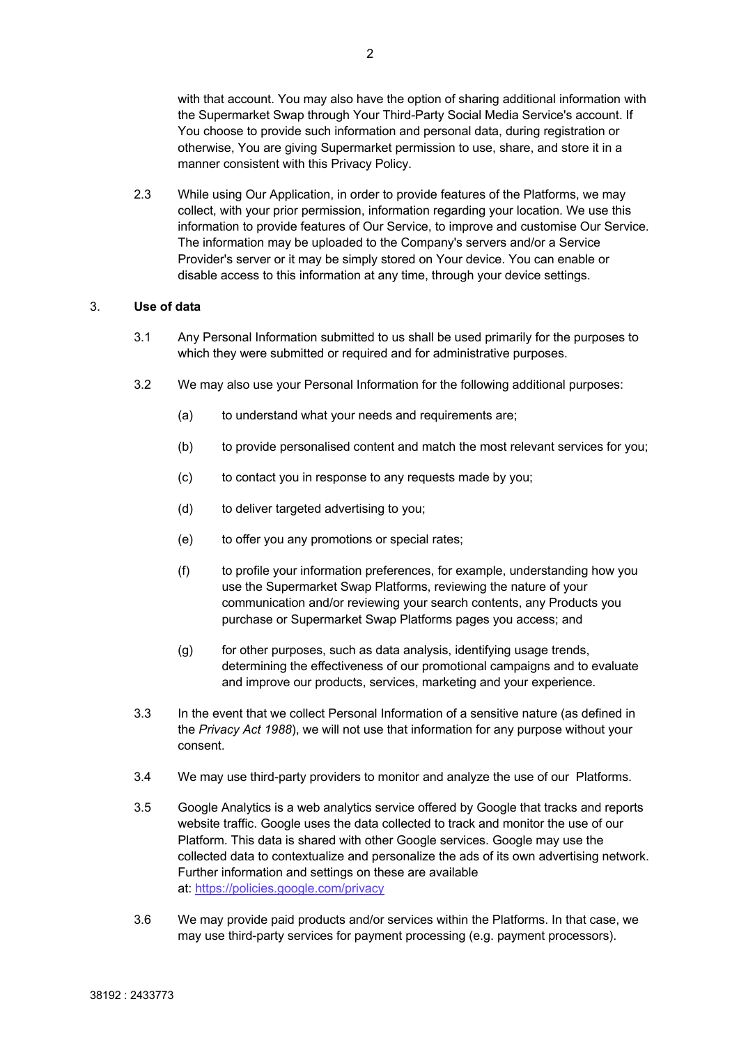with that account. You may also have the option of sharing additional information with the Supermarket Swap through Your Third-Party Social Media Service's account. If You choose to provide such information and personal data, during registration or otherwise, You are giving Supermarket permission to use, share, and store it in a manner consistent with this Privacy Policy.

2.3 While using Our Application, in order to provide features of the Platforms, we may collect, with your prior permission, information regarding your location. We use this information to provide features of Our Service, to improve and customise Our Service. The information may be uploaded to the Company's servers and/or a Service Provider's server or it may be simply stored on Your device. You can enable or disable access to this information at any time, through your device settings.

# 3. **Use of data**

- 3.1 Any Personal Information submitted to us shall be used primarily for the purposes to which they were submitted or required and for administrative purposes.
- 3.2 We may also use your Personal Information for the following additional purposes:
	- (a) to understand what your needs and requirements are;
	- (b) to provide personalised content and match the most relevant services for you;
	- (c) to contact you in response to any requests made by you;
	- (d) to deliver targeted advertising to you;
	- (e) to offer you any promotions or special rates;
	- (f) to profile your information preferences, for example, understanding how you use the Supermarket Swap Platforms, reviewing the nature of your communication and/or reviewing your search contents, any Products you purchase or Supermarket Swap Platforms pages you access; and
	- $(q)$  for other purposes, such as data analysis, identifying usage trends, determining the effectiveness of our promotional campaigns and to evaluate and improve our products, services, marketing and your experience.
- 3.3 In the event that we collect Personal Information of a sensitive nature (as defined in the *Privacy Act 1988*), we will not use that information for any purpose without your consent.
- 3.4 We may use third-party providers to monitor and analyze the use of our Platforms.
- 3.5 Google Analytics is a web analytics service offered by Google that tracks and reports website traffic. Google uses the data collected to track and monitor the use of our Platform. This data is shared with other Google services. Google may use the collected data to contextualize and personalize the ads of its own advertising network. Further information and settings on these are available at: https://policies.google.com/privacy
- 3.6 We may provide paid products and/or services within the Platforms. In that case, we may use third-party services for payment processing (e.g. payment processors).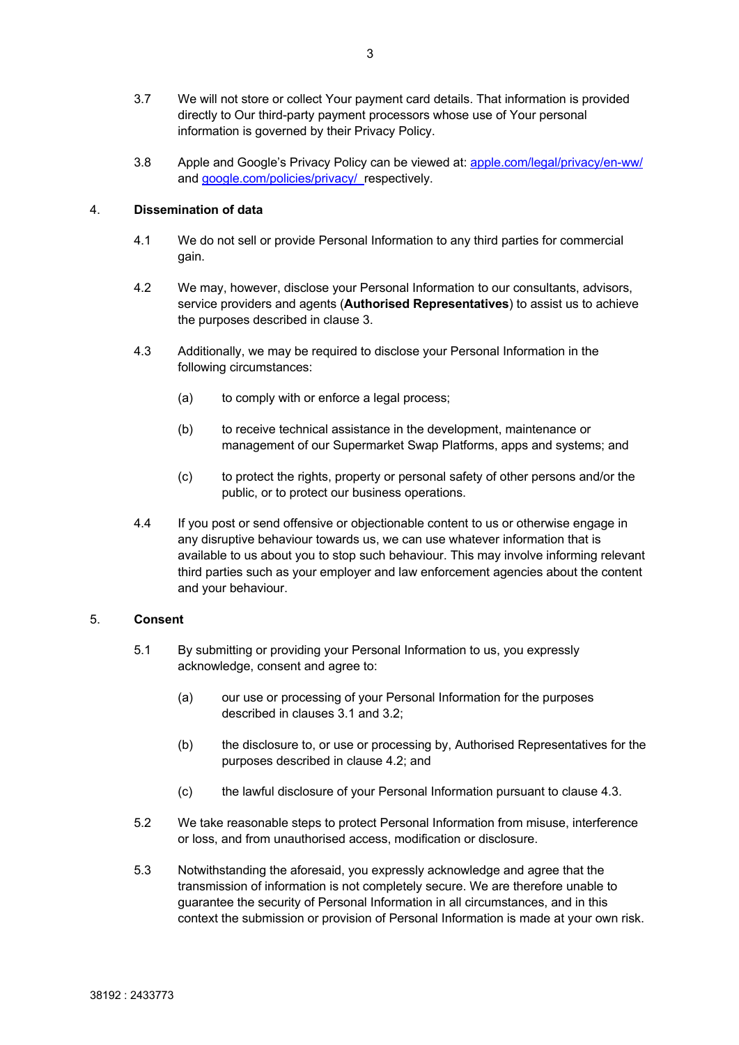- 3.7 We will not store or collect Your payment card details. That information is provided directly to Our third-party payment processors whose use of Your personal information is governed by their Privacy Policy.
- 3.8 Apple and Google's Privacy Policy can be viewed at: apple.com/legal/privacy/en-ww/ and google.com/policies/privacy/ respectively.

#### 4. **Dissemination of data**

- 4.1 We do not sell or provide Personal Information to any third parties for commercial gain.
- 4.2 We may, however, disclose your Personal Information to our consultants, advisors, service providers and agents (**Authorised Representatives**) to assist us to achieve the purposes described in clause 3.
- 4.3 Additionally, we may be required to disclose your Personal Information in the following circumstances:
	- (a) to comply with or enforce a legal process;
	- (b) to receive technical assistance in the development, maintenance or management of our Supermarket Swap Platforms, apps and systems; and
	- (c) to protect the rights, property or personal safety of other persons and/or the public, or to protect our business operations.
- 4.4 If you post or send offensive or objectionable content to us or otherwise engage in any disruptive behaviour towards us, we can use whatever information that is available to us about you to stop such behaviour. This may involve informing relevant third parties such as your employer and law enforcement agencies about the content and your behaviour.

### 5. **Consent**

- 5.1 By submitting or providing your Personal Information to us, you expressly acknowledge, consent and agree to:
	- (a) our use or processing of your Personal Information for the purposes described in clauses 3.1 and 3.2;
	- (b) the disclosure to, or use or processing by, Authorised Representatives for the purposes described in clause 4.2; and
	- (c) the lawful disclosure of your Personal Information pursuant to clause 4.3.
- 5.2 We take reasonable steps to protect Personal Information from misuse, interference or loss, and from unauthorised access, modification or disclosure.
- 5.3 Notwithstanding the aforesaid, you expressly acknowledge and agree that the transmission of information is not completely secure. We are therefore unable to guarantee the security of Personal Information in all circumstances, and in this context the submission or provision of Personal Information is made at your own risk.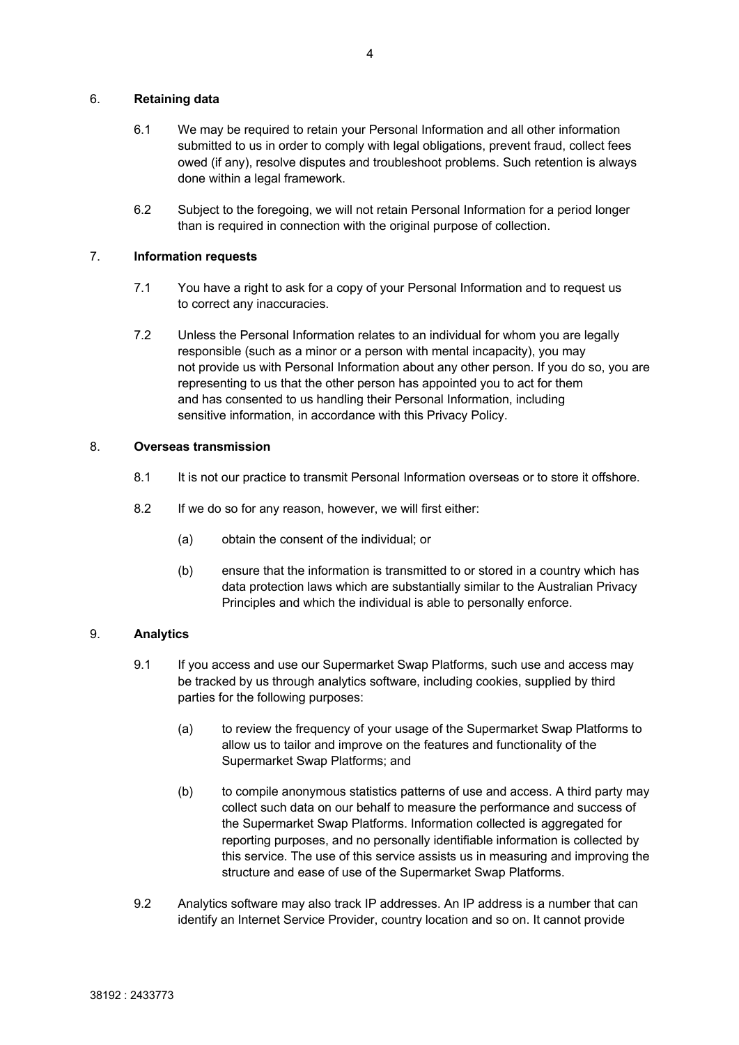### 6. **Retaining data**

- 6.1 We may be required to retain your Personal Information and all other information submitted to us in order to comply with legal obligations, prevent fraud, collect fees owed (if any), resolve disputes and troubleshoot problems. Such retention is always done within a legal framework.
- 6.2 Subject to the foregoing, we will not retain Personal Information for a period longer than is required in connection with the original purpose of collection.

### 7. **Information requests**

- 7.1 You have a right to ask for a copy of your Personal Information and to request us to correct any inaccuracies.
- 7.2 Unless the Personal Information relates to an individual for whom you are legally responsible (such as a minor or a person with mental incapacity), you may not provide us with Personal Information about any other person. If you do so, you are representing to us that the other person has appointed you to act for them and has consented to us handling their Personal Information, including sensitive information, in accordance with this Privacy Policy.

# 8. **Overseas transmission**

- 8.1 It is not our practice to transmit Personal Information overseas or to store it offshore.
- 8.2 If we do so for any reason, however, we will first either:
	- (a) obtain the consent of the individual; or
	- (b) ensure that the information is transmitted to or stored in a country which has data protection laws which are substantially similar to the Australian Privacy Principles and which the individual is able to personally enforce.

# 9. **Analytics**

- 9.1 If you access and use our Supermarket Swap Platforms, such use and access may be tracked by us through analytics software, including cookies, supplied by third parties for the following purposes:
	- (a) to review the frequency of your usage of the Supermarket Swap Platforms to allow us to tailor and improve on the features and functionality of the Supermarket Swap Platforms; and
	- (b) to compile anonymous statistics patterns of use and access. A third party may collect such data on our behalf to measure the performance and success of the Supermarket Swap Platforms. Information collected is aggregated for reporting purposes, and no personally identifiable information is collected by this service. The use of this service assists us in measuring and improving the structure and ease of use of the Supermarket Swap Platforms.
- 9.2 Analytics software may also track IP addresses. An IP address is a number that can identify an Internet Service Provider, country location and so on. It cannot provide